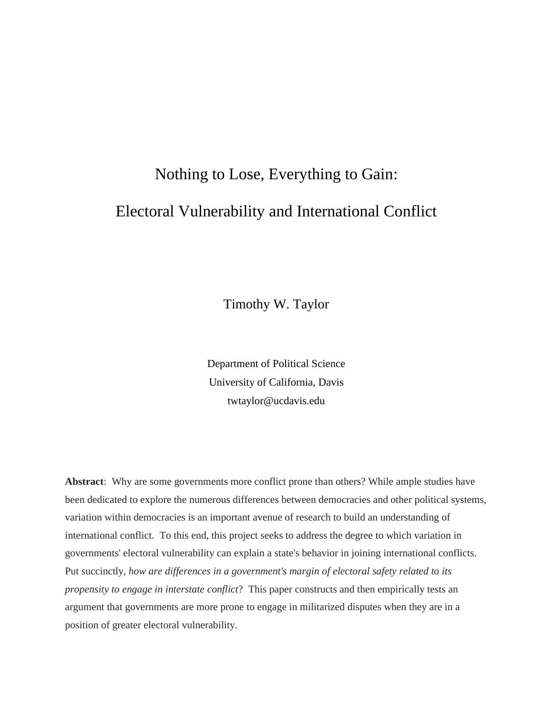# Nothing to Lose, Everything to Gain: Electoral Vulnerability and International Conflict

Timothy W. Taylor

Department of Political Science University of California, Davis twtaylor@ucdavis.edu

**Abstract**: Why are some governments more conflict prone than others? While ample studies have been dedicated to explore the numerous differences between democracies and other political systems, variation within democracies is an important avenue of research to build an understanding of international conflict. To this end, this project seeks to address the degree to which variation in governments' electoral vulnerability can explain a state's behavior in joining international conflicts. Put succinctly, *how are differences in a government's margin of electoral safety related to its propensity to engage in interstate conflict*? This paper constructs and then empirically tests an argument that governments are more prone to engage in militarized disputes when they are in a position of greater electoral vulnerability.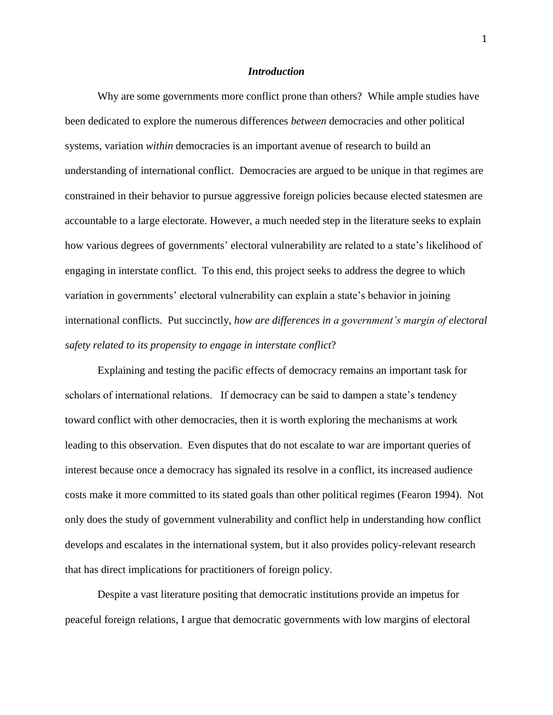#### *Introduction*

Why are some governments more conflict prone than others? While ample studies have been dedicated to explore the numerous differences *between* democracies and other political systems, variation *within* democracies is an important avenue of research to build an understanding of international conflict. Democracies are argued to be unique in that regimes are constrained in their behavior to pursue aggressive foreign policies because elected statesmen are accountable to a large electorate. However, a much needed step in the literature seeks to explain how various degrees of governments' electoral vulnerability are related to a state's likelihood of engaging in interstate conflict. To this end, this project seeks to address the degree to which variation in governments' electoral vulnerability can explain a state's behavior in joining international conflicts. Put succinctly, *how are differences in a government's margin of electoral safety related to its propensity to engage in interstate conflict*?

Explaining and testing the pacific effects of democracy remains an important task for scholars of international relations. If democracy can be said to dampen a state's tendency toward conflict with other democracies, then it is worth exploring the mechanisms at work leading to this observation. Even disputes that do not escalate to war are important queries of interest because once a democracy has signaled its resolve in a conflict, its increased audience costs make it more committed to its stated goals than other political regimes (Fearon 1994). Not only does the study of government vulnerability and conflict help in understanding how conflict develops and escalates in the international system, but it also provides policy-relevant research that has direct implications for practitioners of foreign policy.

Despite a vast literature positing that democratic institutions provide an impetus for peaceful foreign relations, I argue that democratic governments with low margins of electoral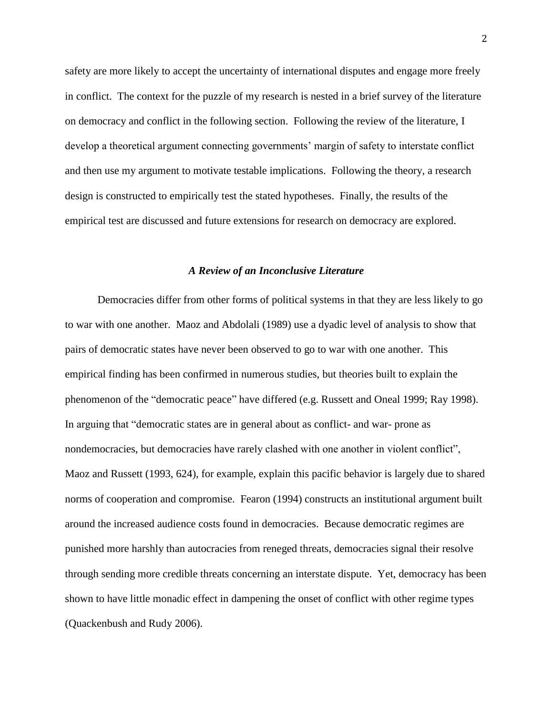safety are more likely to accept the uncertainty of international disputes and engage more freely in conflict. The context for the puzzle of my research is nested in a brief survey of the literature on democracy and conflict in the following section. Following the review of the literature, I develop a theoretical argument connecting governments' margin of safety to interstate conflict and then use my argument to motivate testable implications. Following the theory, a research design is constructed to empirically test the stated hypotheses. Finally, the results of the empirical test are discussed and future extensions for research on democracy are explored.

#### *A Review of an Inconclusive Literature*

Democracies differ from other forms of political systems in that they are less likely to go to war with one another. Maoz and Abdolali (1989) use a dyadic level of analysis to show that pairs of democratic states have never been observed to go to war with one another. This empirical finding has been confirmed in numerous studies, but theories built to explain the phenomenon of the "democratic peace" have differed (e.g. Russett and Oneal 1999; Ray 1998). In arguing that "democratic states are in general about as conflict- and war- prone as nondemocracies, but democracies have rarely clashed with one another in violent conflict", Maoz and Russett (1993, 624), for example, explain this pacific behavior is largely due to shared norms of cooperation and compromise. Fearon (1994) constructs an institutional argument built around the increased audience costs found in democracies. Because democratic regimes are punished more harshly than autocracies from reneged threats, democracies signal their resolve through sending more credible threats concerning an interstate dispute. Yet, democracy has been shown to have little monadic effect in dampening the onset of conflict with other regime types (Quackenbush and Rudy 2006).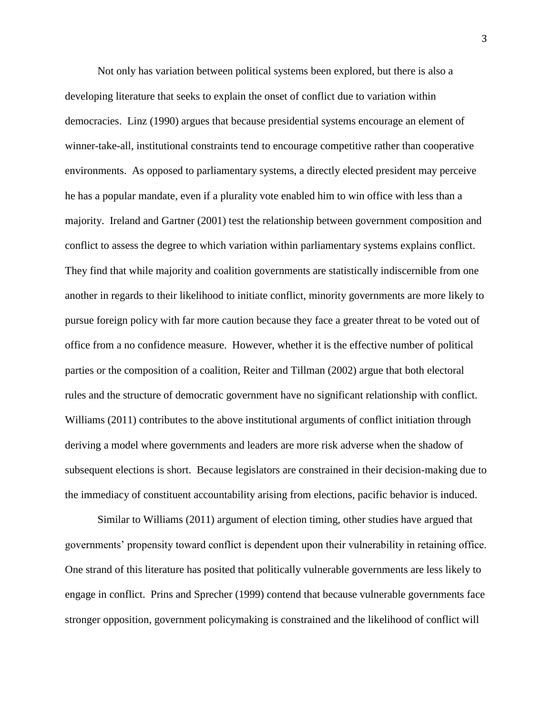Not only has variation between political systems been explored, but there is also a developing literature that seeks to explain the onset of conflict due to variation within democracies. Linz (1990) argues that because presidential systems encourage an element of winner-take-all, institutional constraints tend to encourage competitive rather than cooperative environments. As opposed to parliamentary systems, a directly elected president may perceive he has a popular mandate, even if a plurality vote enabled him to win office with less than a majority. Ireland and Gartner (2001) test the relationship between government composition and conflict to assess the degree to which variation within parliamentary systems explains conflict. They find that while majority and coalition governments are statistically indiscernible from one another in regards to their likelihood to initiate conflict, minority governments are more likely to pursue foreign policy with far more caution because they face a greater threat to be voted out of office from a no confidence measure. However, whether it is the effective number of political parties or the composition of a coalition, Reiter and Tillman (2002) argue that both electoral rules and the structure of democratic government have no significant relationship with conflict. Williams (2011) contributes to the above institutional arguments of conflict initiation through deriving a model where governments and leaders are more risk adverse when the shadow of subsequent elections is short. Because legislators are constrained in their decision-making due to the immediacy of constituent accountability arising from elections, pacific behavior is induced.

Similar to Williams (2011) argument of election timing, other studies have argued that governments' propensity toward conflict is dependent upon their vulnerability in retaining office. One strand of this literature has posited that politically vulnerable governments are less likely to engage in conflict. Prins and Sprecher (1999) contend that because vulnerable governments face stronger opposition, government policymaking is constrained and the likelihood of conflict will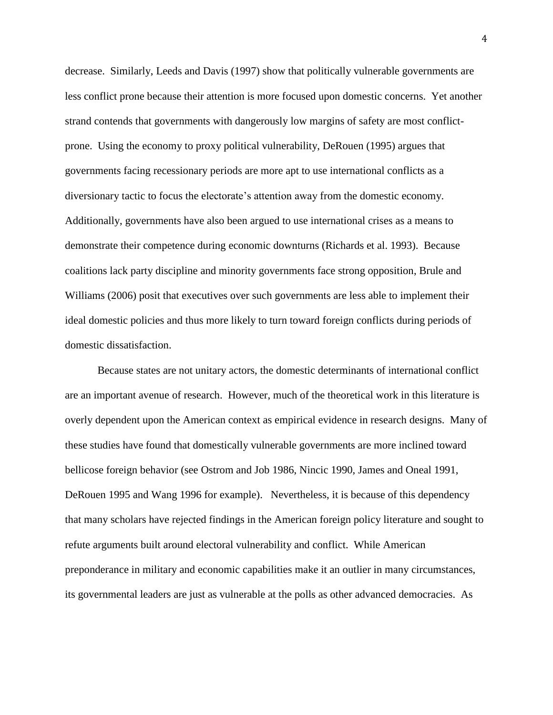decrease. Similarly, Leeds and Davis (1997) show that politically vulnerable governments are less conflict prone because their attention is more focused upon domestic concerns. Yet another strand contends that governments with dangerously low margins of safety are most conflictprone. Using the economy to proxy political vulnerability, DeRouen (1995) argues that governments facing recessionary periods are more apt to use international conflicts as a diversionary tactic to focus the electorate's attention away from the domestic economy. Additionally, governments have also been argued to use international crises as a means to demonstrate their competence during economic downturns (Richards et al. 1993). Because coalitions lack party discipline and minority governments face strong opposition, Brule and Williams (2006) posit that executives over such governments are less able to implement their ideal domestic policies and thus more likely to turn toward foreign conflicts during periods of domestic dissatisfaction.

Because states are not unitary actors, the domestic determinants of international conflict are an important avenue of research. However, much of the theoretical work in this literature is overly dependent upon the American context as empirical evidence in research designs. Many of these studies have found that domestically vulnerable governments are more inclined toward bellicose foreign behavior (see Ostrom and Job 1986, Nincic 1990, James and Oneal 1991, DeRouen 1995 and Wang 1996 for example). Nevertheless, it is because of this dependency that many scholars have rejected findings in the American foreign policy literature and sought to refute arguments built around electoral vulnerability and conflict. While American preponderance in military and economic capabilities make it an outlier in many circumstances, its governmental leaders are just as vulnerable at the polls as other advanced democracies. As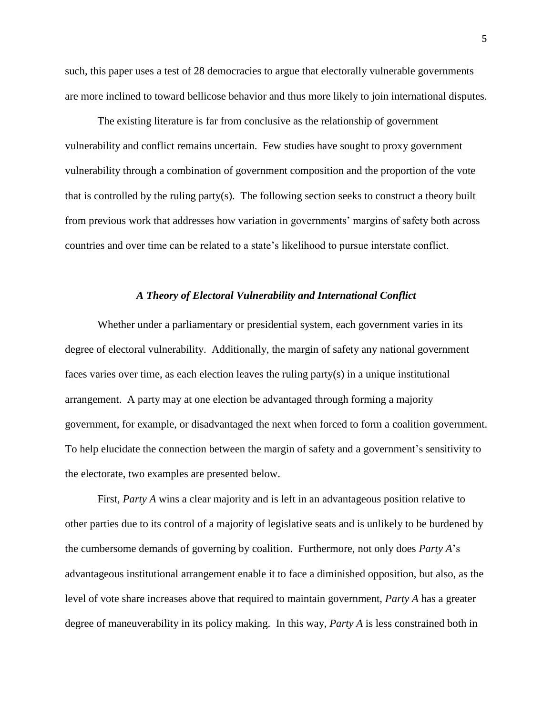such, this paper uses a test of 28 democracies to argue that electorally vulnerable governments are more inclined to toward bellicose behavior and thus more likely to join international disputes.

The existing literature is far from conclusive as the relationship of government vulnerability and conflict remains uncertain. Few studies have sought to proxy government vulnerability through a combination of government composition and the proportion of the vote that is controlled by the ruling party(s). The following section seeks to construct a theory built from previous work that addresses how variation in governments' margins of safety both across countries and over time can be related to a state's likelihood to pursue interstate conflict.

#### *A Theory of Electoral Vulnerability and International Conflict*

Whether under a parliamentary or presidential system, each government varies in its degree of electoral vulnerability. Additionally, the margin of safety any national government faces varies over time, as each election leaves the ruling party(s) in a unique institutional arrangement. A party may at one election be advantaged through forming a majority government, for example, or disadvantaged the next when forced to form a coalition government. To help elucidate the connection between the margin of safety and a government's sensitivity to the electorate, two examples are presented below.

First, *Party A* wins a clear majority and is left in an advantageous position relative to other parties due to its control of a majority of legislative seats and is unlikely to be burdened by the cumbersome demands of governing by coalition. Furthermore, not only does *Party A*'s advantageous institutional arrangement enable it to face a diminished opposition, but also, as the level of vote share increases above that required to maintain government, *Party A* has a greater degree of maneuverability in its policy making. In this way, *Party A* is less constrained both in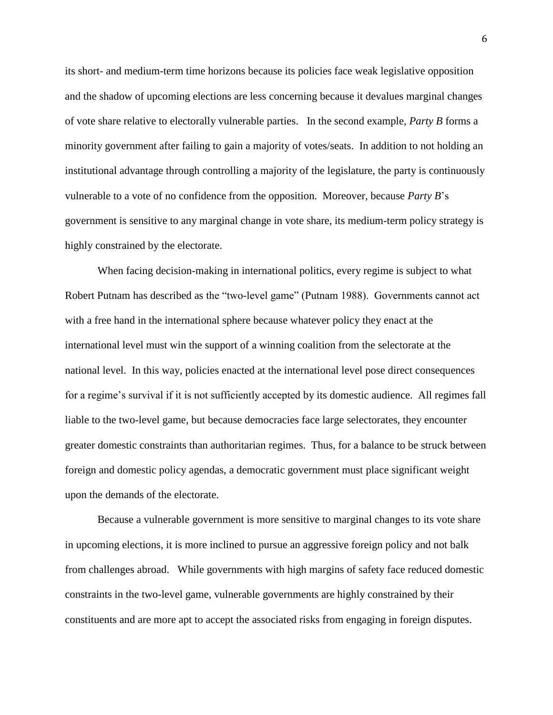its short- and medium-term time horizons because its policies face weak legislative opposition and the shadow of upcoming elections are less concerning because it devalues marginal changes of vote share relative to electorally vulnerable parties. In the second example, *Party B* forms a minority government after failing to gain a majority of votes/seats. In addition to not holding an institutional advantage through controlling a majority of the legislature, the party is continuously vulnerable to a vote of no confidence from the opposition. Moreover, because *Party B*'s government is sensitive to any marginal change in vote share, its medium-term policy strategy is highly constrained by the electorate.

When facing decision-making in international politics, every regime is subject to what Robert Putnam has described as the "two-level game" (Putnam 1988). Governments cannot act with a free hand in the international sphere because whatever policy they enact at the international level must win the support of a winning coalition from the selectorate at the national level. In this way, policies enacted at the international level pose direct consequences for a regime's survival if it is not sufficiently accepted by its domestic audience. All regimes fall liable to the two-level game, but because democracies face large selectorates, they encounter greater domestic constraints than authoritarian regimes. Thus, for a balance to be struck between foreign and domestic policy agendas, a democratic government must place significant weight upon the demands of the electorate.

Because a vulnerable government is more sensitive to marginal changes to its vote share in upcoming elections, it is more inclined to pursue an aggressive foreign policy and not balk from challenges abroad. While governments with high margins of safety face reduced domestic constraints in the two-level game, vulnerable governments are highly constrained by their constituents and are more apt to accept the associated risks from engaging in foreign disputes.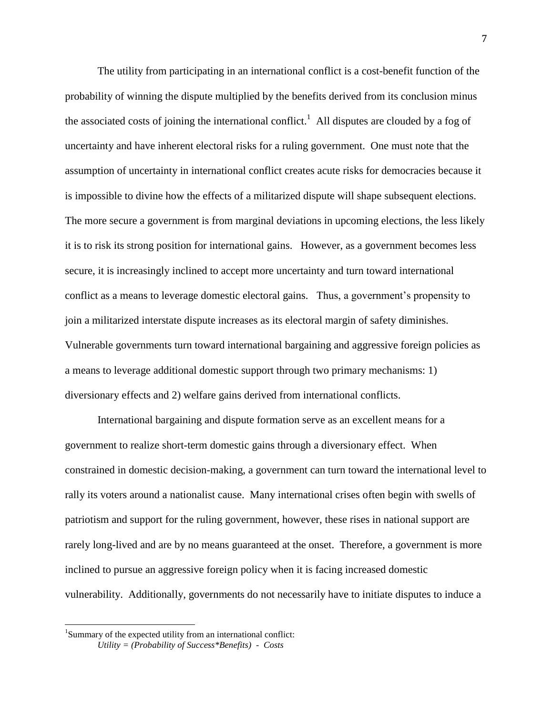The utility from participating in an international conflict is a cost-benefit function of the probability of winning the dispute multiplied by the benefits derived from its conclusion minus the associated costs of joining the international conflict.<sup>1</sup> All disputes are clouded by a fog of uncertainty and have inherent electoral risks for a ruling government. One must note that the assumption of uncertainty in international conflict creates acute risks for democracies because it is impossible to divine how the effects of a militarized dispute will shape subsequent elections. The more secure a government is from marginal deviations in upcoming elections, the less likely it is to risk its strong position for international gains. However, as a government becomes less secure, it is increasingly inclined to accept more uncertainty and turn toward international conflict as a means to leverage domestic electoral gains. Thus, a government's propensity to join a militarized interstate dispute increases as its electoral margin of safety diminishes. Vulnerable governments turn toward international bargaining and aggressive foreign policies as a means to leverage additional domestic support through two primary mechanisms: 1) diversionary effects and 2) welfare gains derived from international conflicts.

International bargaining and dispute formation serve as an excellent means for a government to realize short-term domestic gains through a diversionary effect. When constrained in domestic decision-making, a government can turn toward the international level to rally its voters around a nationalist cause. Many international crises often begin with swells of patriotism and support for the ruling government, however, these rises in national support are rarely long-lived and are by no means guaranteed at the onset. Therefore, a government is more inclined to pursue an aggressive foreign policy when it is facing increased domestic vulnerability. Additionally, governments do not necessarily have to initiate disputes to induce a

l

<sup>&</sup>lt;sup>1</sup>Summary of the expected utility from an international conflict: *Utility = (Probability of Success\*Benefits) - Costs*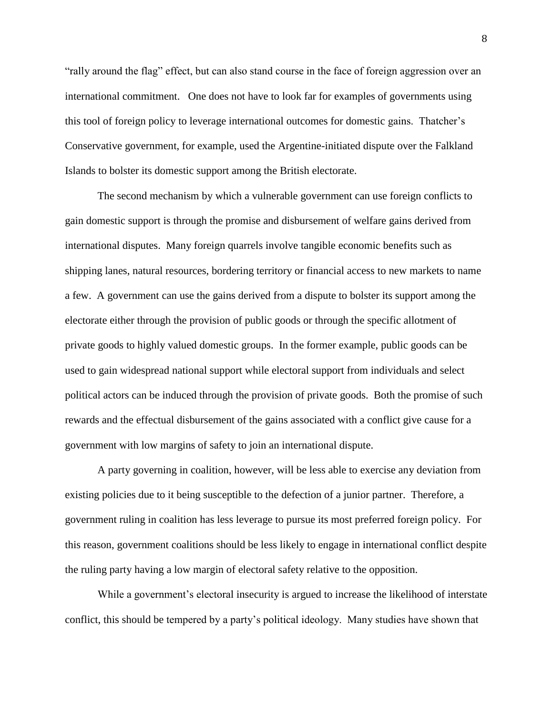"rally around the flag" effect, but can also stand course in the face of foreign aggression over an international commitment. One does not have to look far for examples of governments using this tool of foreign policy to leverage international outcomes for domestic gains. Thatcher's Conservative government, for example, used the Argentine-initiated dispute over the Falkland Islands to bolster its domestic support among the British electorate.

The second mechanism by which a vulnerable government can use foreign conflicts to gain domestic support is through the promise and disbursement of welfare gains derived from international disputes. Many foreign quarrels involve tangible economic benefits such as shipping lanes, natural resources, bordering territory or financial access to new markets to name a few. A government can use the gains derived from a dispute to bolster its support among the electorate either through the provision of public goods or through the specific allotment of private goods to highly valued domestic groups. In the former example, public goods can be used to gain widespread national support while electoral support from individuals and select political actors can be induced through the provision of private goods. Both the promise of such rewards and the effectual disbursement of the gains associated with a conflict give cause for a government with low margins of safety to join an international dispute.

A party governing in coalition, however, will be less able to exercise any deviation from existing policies due to it being susceptible to the defection of a junior partner. Therefore, a government ruling in coalition has less leverage to pursue its most preferred foreign policy. For this reason, government coalitions should be less likely to engage in international conflict despite the ruling party having a low margin of electoral safety relative to the opposition.

While a government's electoral insecurity is argued to increase the likelihood of interstate conflict, this should be tempered by a party's political ideology. Many studies have shown that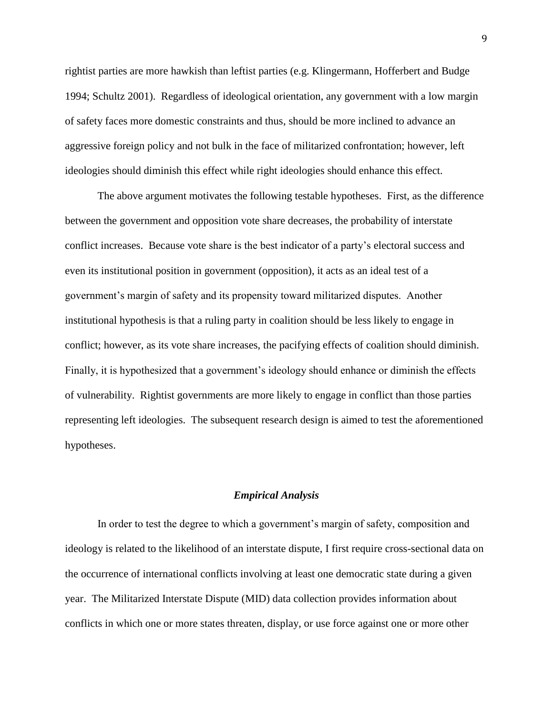rightist parties are more hawkish than leftist parties (e.g. Klingermann, Hofferbert and Budge 1994; Schultz 2001). Regardless of ideological orientation, any government with a low margin of safety faces more domestic constraints and thus, should be more inclined to advance an aggressive foreign policy and not bulk in the face of militarized confrontation; however, left ideologies should diminish this effect while right ideologies should enhance this effect.

The above argument motivates the following testable hypotheses. First, as the difference between the government and opposition vote share decreases, the probability of interstate conflict increases. Because vote share is the best indicator of a party's electoral success and even its institutional position in government (opposition), it acts as an ideal test of a government's margin of safety and its propensity toward militarized disputes. Another institutional hypothesis is that a ruling party in coalition should be less likely to engage in conflict; however, as its vote share increases, the pacifying effects of coalition should diminish. Finally, it is hypothesized that a government's ideology should enhance or diminish the effects of vulnerability. Rightist governments are more likely to engage in conflict than those parties representing left ideologies. The subsequent research design is aimed to test the aforementioned hypotheses.

#### *Empirical Analysis*

In order to test the degree to which a government's margin of safety, composition and ideology is related to the likelihood of an interstate dispute, I first require cross-sectional data on the occurrence of international conflicts involving at least one democratic state during a given year. The Militarized Interstate Dispute (MID) data collection provides information about conflicts in which one or more states threaten, display, or use force against one or more other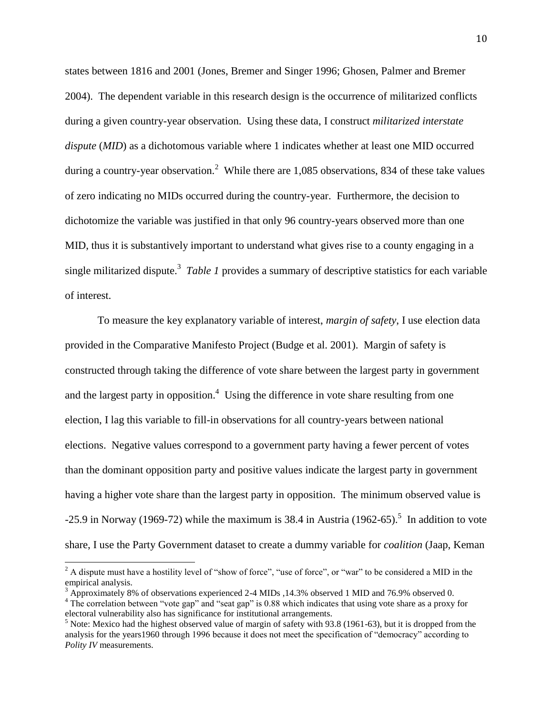states between 1816 and 2001 (Jones, Bremer and Singer 1996; Ghosen, Palmer and Bremer 2004). The dependent variable in this research design is the occurrence of militarized conflicts during a given country-year observation. Using these data, I construct *militarized interstate dispute* (*MID*) as a dichotomous variable where 1 indicates whether at least one MID occurred during a country-year observation.<sup>2</sup> While there are 1,085 observations, 834 of these take values of zero indicating no MIDs occurred during the country-year. Furthermore, the decision to dichotomize the variable was justified in that only 96 country-years observed more than one MID, thus it is substantively important to understand what gives rise to a county engaging in a single militarized dispute.<sup>3</sup> Table 1 provides a summary of descriptive statistics for each variable of interest.

To measure the key explanatory variable of interest, *margin of safety*, I use election data provided in the Comparative Manifesto Project (Budge et al. 2001). Margin of safety is constructed through taking the difference of vote share between the largest party in government and the largest party in opposition.<sup>4</sup> Using the difference in vote share resulting from one election, I lag this variable to fill-in observations for all country-years between national elections. Negative values correspond to a government party having a fewer percent of votes than the dominant opposition party and positive values indicate the largest party in government having a higher vote share than the largest party in opposition. The minimum observed value is  $-25.9$  in Norway (1969-72) while the maximum is 38.4 in Austria (1962-65).<sup>5</sup> In addition to vote share, I use the Party Government dataset to create a dummy variable for *coalition* (Jaap, Keman

l

 $2^2$  A dispute must have a hostility level of "show of force", "use of force", or "war" to be considered a MID in the empirical analysis.

 $3$  Approximately 8% of observations experienced 2-4 MIDs ,14.3% observed 1 MID and 76.9% observed 0.

<sup>&</sup>lt;sup>4</sup> The correlation between "vote gap" and "seat gap" is 0.88 which indicates that using vote share as a proxy for electoral vulnerability also has significance for institutional arrangements.

<sup>&</sup>lt;sup>5</sup> Note: Mexico had the highest observed value of margin of safety with 93.8 (1961-63), but it is dropped from the analysis for the years1960 through 1996 because it does not meet the specification of "democracy" according to *Polity IV* measurements.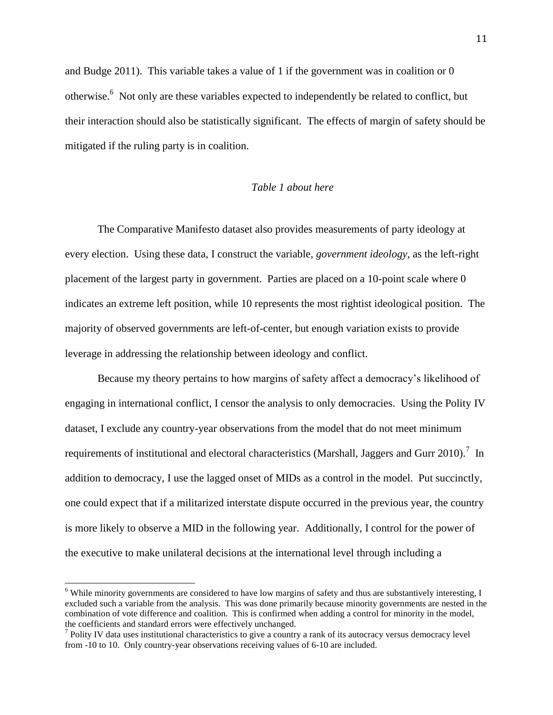and Budge 2011). This variable takes a value of 1 if the government was in coalition or 0 otherwise.<sup>6</sup> Not only are these variables expected to independently be related to conflict, but their interaction should also be statistically significant. The effects of margin of safety should be mitigated if the ruling party is in coalition.

#### *Table 1 about here*

The Comparative Manifesto dataset also provides measurements of party ideology at every election. Using these data, I construct the variable, *government ideology*, as the left-right placement of the largest party in government. Parties are placed on a 10-point scale where 0 indicates an extreme left position, while 10 represents the most rightist ideological position. The majority of observed governments are left-of-center, but enough variation exists to provide leverage in addressing the relationship between ideology and conflict.

Because my theory pertains to how margins of safety affect a democracy's likelihood of engaging in international conflict, I censor the analysis to only democracies. Using the Polity IV dataset, I exclude any country-year observations from the model that do not meet minimum requirements of institutional and electoral characteristics (Marshall, Jaggers and Gurr 2010).<sup>7</sup> In addition to democracy, I use the lagged onset of MIDs as a control in the model. Put succinctly, one could expect that if a militarized interstate dispute occurred in the previous year, the country is more likely to observe a MID in the following year. Additionally, I control for the power of the executive to make unilateral decisions at the international level through including a

 $\overline{a}$ 

<sup>&</sup>lt;sup>6</sup> While minority governments are considered to have low margins of safety and thus are substantively interesting, I excluded such a variable from the analysis. This was done primarily because minority governments are nested in the combination of vote difference and coalition. This is confirmed when adding a control for minority in the model, the coefficients and standard errors were effectively unchanged.

<sup>&</sup>lt;sup>7</sup> Polity IV data uses institutional characteristics to give a country a rank of its autocracy versus democracy level from -10 to 10. Only country-year observations receiving values of 6-10 are included.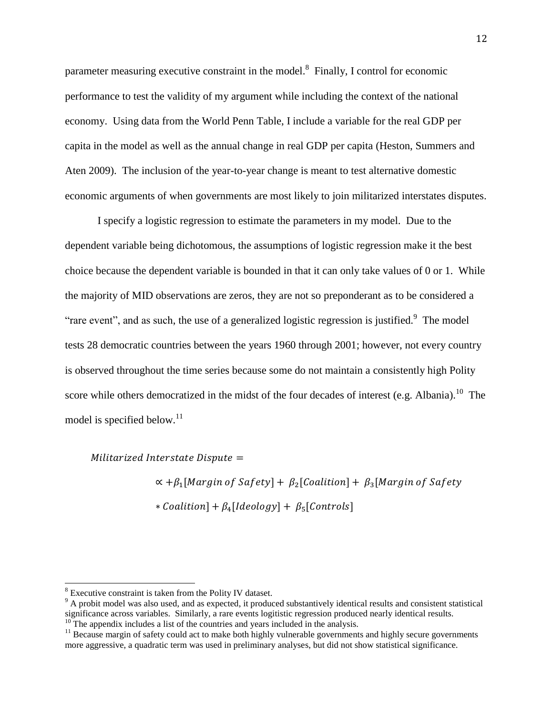parameter measuring executive constraint in the model. $^8$  Finally, I control for economic performance to test the validity of my argument while including the context of the national economy. Using data from the World Penn Table, I include a variable for the real GDP per capita in the model as well as the annual change in real GDP per capita (Heston, Summers and Aten 2009). The inclusion of the year-to-year change is meant to test alternative domestic economic arguments of when governments are most likely to join militarized interstates disputes.

I specify a logistic regression to estimate the parameters in my model. Due to the dependent variable being dichotomous, the assumptions of logistic regression make it the best choice because the dependent variable is bounded in that it can only take values of 0 or 1. While the majority of MID observations are zeros, they are not so preponderant as to be considered a "rare event", and as such, the use of a generalized logistic regression is justified. $\degree$  The model tests 28 democratic countries between the years 1960 through 2001; however, not every country is observed throughout the time series because some do not maintain a consistently high Polity score while others democratized in the midst of the four decades of interest (e.g. Albania).<sup>10</sup> The model is specified below.<sup>11</sup>

Militarized Interstate Dispute  $=$ 

 $\propto +\beta_1$ [Margin of Safety] +  $\beta_2$ [Coalition] +  $\beta_3$ [ \* Coalition] +  $\beta_4$ [Ideology] +  $\beta_5$ [

 $\overline{a}$ 

 $8$  Executive constraint is taken from the Polity IV dataset.

<sup>&</sup>lt;sup>9</sup> A probit model was also used, and as expected, it produced substantively identical results and consistent statistical significance across variables. Similarly, a rare events logitistic regression produced nearly identical results.  $10$ <sup>10</sup> The appendix includes a list of the countries and years included in the analysis.

<sup>&</sup>lt;sup>11</sup> Because margin of safety could act to make both highly vulnerable governments and highly secure governments more aggressive, a quadratic term was used in preliminary analyses, but did not show statistical significance.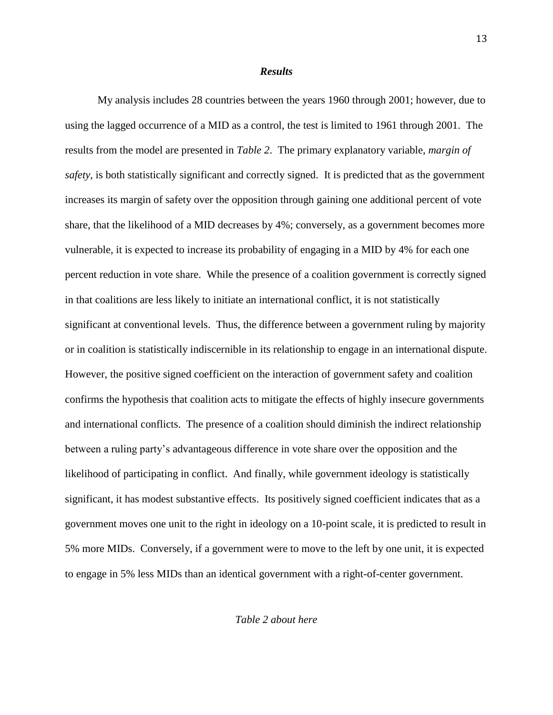#### *Results*

My analysis includes 28 countries between the years 1960 through 2001; however, due to using the lagged occurrence of a MID as a control, the test is limited to 1961 through 2001. The results from the model are presented in *Table 2*. The primary explanatory variable, *margin of safety*, is both statistically significant and correctly signed. It is predicted that as the government increases its margin of safety over the opposition through gaining one additional percent of vote share, that the likelihood of a MID decreases by 4%; conversely, as a government becomes more vulnerable, it is expected to increase its probability of engaging in a MID by 4% for each one percent reduction in vote share. While the presence of a coalition government is correctly signed in that coalitions are less likely to initiate an international conflict, it is not statistically significant at conventional levels. Thus, the difference between a government ruling by majority or in coalition is statistically indiscernible in its relationship to engage in an international dispute. However, the positive signed coefficient on the interaction of government safety and coalition confirms the hypothesis that coalition acts to mitigate the effects of highly insecure governments and international conflicts. The presence of a coalition should diminish the indirect relationship between a ruling party's advantageous difference in vote share over the opposition and the likelihood of participating in conflict. And finally, while government ideology is statistically significant, it has modest substantive effects. Its positively signed coefficient indicates that as a government moves one unit to the right in ideology on a 10-point scale, it is predicted to result in 5% more MIDs. Conversely, if a government were to move to the left by one unit, it is expected to engage in 5% less MIDs than an identical government with a right-of-center government.

*Table 2 about here*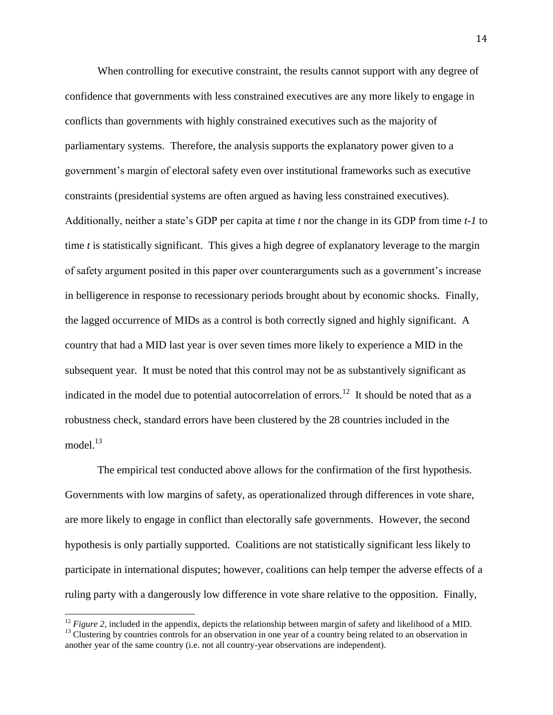When controlling for executive constraint, the results cannot support with any degree of confidence that governments with less constrained executives are any more likely to engage in conflicts than governments with highly constrained executives such as the majority of parliamentary systems. Therefore, the analysis supports the explanatory power given to a government's margin of electoral safety even over institutional frameworks such as executive constraints (presidential systems are often argued as having less constrained executives). Additionally, neither a state's GDP per capita at time *t* nor the change in its GDP from time *t-1* to time *t* is statistically significant. This gives a high degree of explanatory leverage to the margin of safety argument posited in this paper over counterarguments such as a government's increase in belligerence in response to recessionary periods brought about by economic shocks. Finally, the lagged occurrence of MIDs as a control is both correctly signed and highly significant. A country that had a MID last year is over seven times more likely to experience a MID in the subsequent year. It must be noted that this control may not be as substantively significant as indicated in the model due to potential autocorrelation of errors.<sup>12</sup> It should be noted that as a robustness check, standard errors have been clustered by the 28 countries included in the model. $13$ 

The empirical test conducted above allows for the confirmation of the first hypothesis. Governments with low margins of safety, as operationalized through differences in vote share, are more likely to engage in conflict than electorally safe governments. However, the second hypothesis is only partially supported. Coalitions are not statistically significant less likely to participate in international disputes; however, coalitions can help temper the adverse effects of a ruling party with a dangerously low difference in vote share relative to the opposition. Finally,

 $\overline{a}$ 

<sup>&</sup>lt;sup>12</sup> *Figure 2*, included in the appendix, depicts the relationship between margin of safety and likelihood of a MID. <sup>13</sup> Clustering by countries controls for an observation in one year of a country being related to an observation in another year of the same country (i.e. not all country-year observations are independent).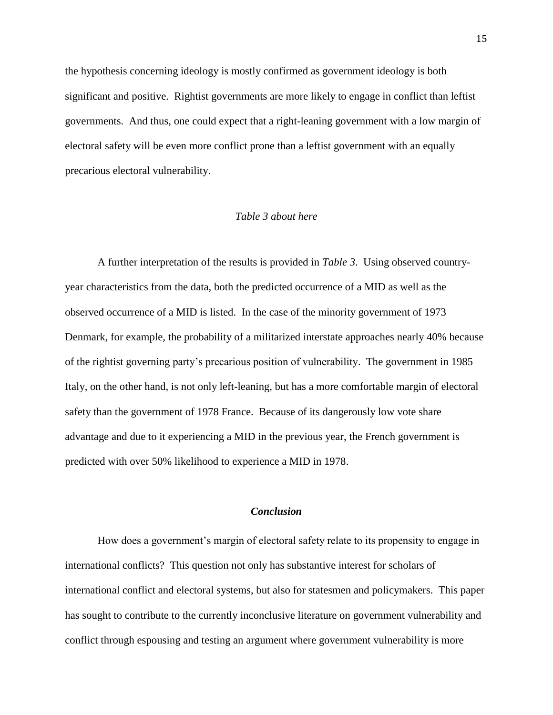the hypothesis concerning ideology is mostly confirmed as government ideology is both significant and positive. Rightist governments are more likely to engage in conflict than leftist governments. And thus, one could expect that a right-leaning government with a low margin of electoral safety will be even more conflict prone than a leftist government with an equally precarious electoral vulnerability.

#### *Table 3 about here*

A further interpretation of the results is provided in *Table 3*. Using observed countryyear characteristics from the data, both the predicted occurrence of a MID as well as the observed occurrence of a MID is listed. In the case of the minority government of 1973 Denmark, for example, the probability of a militarized interstate approaches nearly 40% because of the rightist governing party's precarious position of vulnerability. The government in 1985 Italy, on the other hand, is not only left-leaning, but has a more comfortable margin of electoral safety than the government of 1978 France. Because of its dangerously low vote share advantage and due to it experiencing a MID in the previous year, the French government is predicted with over 50% likelihood to experience a MID in 1978.

#### *Conclusion*

How does a government's margin of electoral safety relate to its propensity to engage in international conflicts? This question not only has substantive interest for scholars of international conflict and electoral systems, but also for statesmen and policymakers. This paper has sought to contribute to the currently inconclusive literature on government vulnerability and conflict through espousing and testing an argument where government vulnerability is more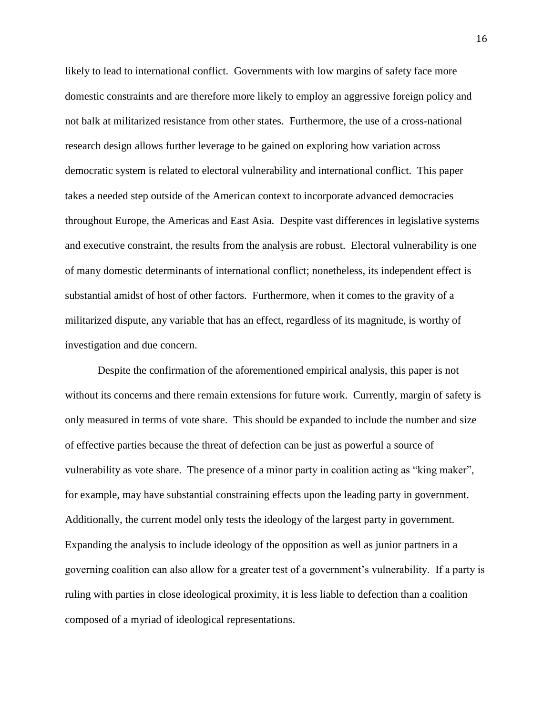likely to lead to international conflict. Governments with low margins of safety face more domestic constraints and are therefore more likely to employ an aggressive foreign policy and not balk at militarized resistance from other states. Furthermore, the use of a cross-national research design allows further leverage to be gained on exploring how variation across democratic system is related to electoral vulnerability and international conflict. This paper takes a needed step outside of the American context to incorporate advanced democracies throughout Europe, the Americas and East Asia. Despite vast differences in legislative systems and executive constraint, the results from the analysis are robust. Electoral vulnerability is one of many domestic determinants of international conflict; nonetheless, its independent effect is substantial amidst of host of other factors. Furthermore, when it comes to the gravity of a militarized dispute, any variable that has an effect, regardless of its magnitude, is worthy of investigation and due concern.

Despite the confirmation of the aforementioned empirical analysis, this paper is not without its concerns and there remain extensions for future work. Currently, margin of safety is only measured in terms of vote share. This should be expanded to include the number and size of effective parties because the threat of defection can be just as powerful a source of vulnerability as vote share. The presence of a minor party in coalition acting as "king maker", for example, may have substantial constraining effects upon the leading party in government. Additionally, the current model only tests the ideology of the largest party in government. Expanding the analysis to include ideology of the opposition as well as junior partners in a governing coalition can also allow for a greater test of a government's vulnerability. If a party is ruling with parties in close ideological proximity, it is less liable to defection than a coalition composed of a myriad of ideological representations.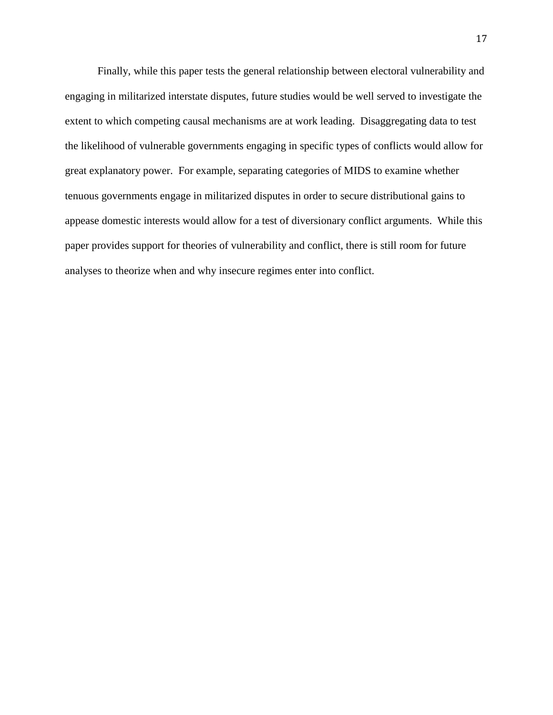Finally, while this paper tests the general relationship between electoral vulnerability and engaging in militarized interstate disputes, future studies would be well served to investigate the extent to which competing causal mechanisms are at work leading. Disaggregating data to test the likelihood of vulnerable governments engaging in specific types of conflicts would allow for great explanatory power. For example, separating categories of MIDS to examine whether tenuous governments engage in militarized disputes in order to secure distributional gains to appease domestic interests would allow for a test of diversionary conflict arguments. While this paper provides support for theories of vulnerability and conflict, there is still room for future analyses to theorize when and why insecure regimes enter into conflict.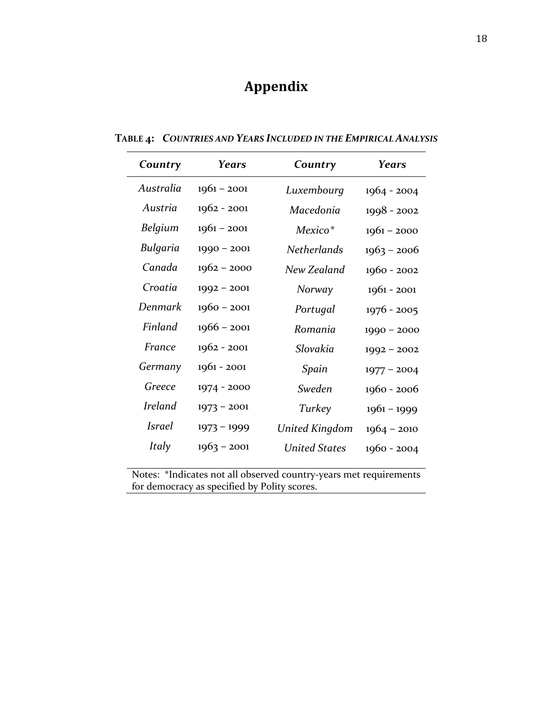## **Appendix**

| Country        | <b>Years</b>  | Country              | <b>Years</b>  |  |
|----------------|---------------|----------------------|---------------|--|
| Australia      | $1961 - 2001$ | Luxembourg           | $1964 - 2004$ |  |
| Austria        | $1962 - 2001$ | Macedonia            | $1998 - 2002$ |  |
| Belgium        | $1961 - 2001$ | Mexico <sup>*</sup>  | $1961 - 2000$ |  |
| Bulgaria       | $1990 - 2001$ | <b>Netherlands</b>   | $1963 - 2006$ |  |
| Canada         | $1962 - 2000$ | New Zealand          | 1960 - 2002   |  |
| Croatia        | $1992 - 2001$ | Norway               | $1961 - 2001$ |  |
| Denmark        | $1960 - 2001$ | Portugal             | $1976 - 2005$ |  |
| Finland        | $1966 - 2001$ | Romania              | $1990 - 2000$ |  |
| France         | $1962 - 2001$ | Slovakia             | $1992 - 2002$ |  |
| Germany        | $1961 - 2001$ | Spain                | $1977 - 2004$ |  |
| Greece         | 1974 - 2000   | Sweden               | $1960 - 2006$ |  |
| <b>Ireland</b> | $1973 - 2001$ | Turkey               | $1961 - 1999$ |  |
| <i>Israel</i>  | $1973 - 1999$ | United Kingdom       | $1964 - 2010$ |  |
| Italy          | $1963 - 2001$ | <b>United States</b> | $1960 - 2004$ |  |

**TABLE 4:** *COUNTRIES AND YEARS INCLUDED IN THE EMPIRICAL ANALYSIS* 

Notes: \*Indicates not all observed country-years met requirements for democracy as specified by Polity scores.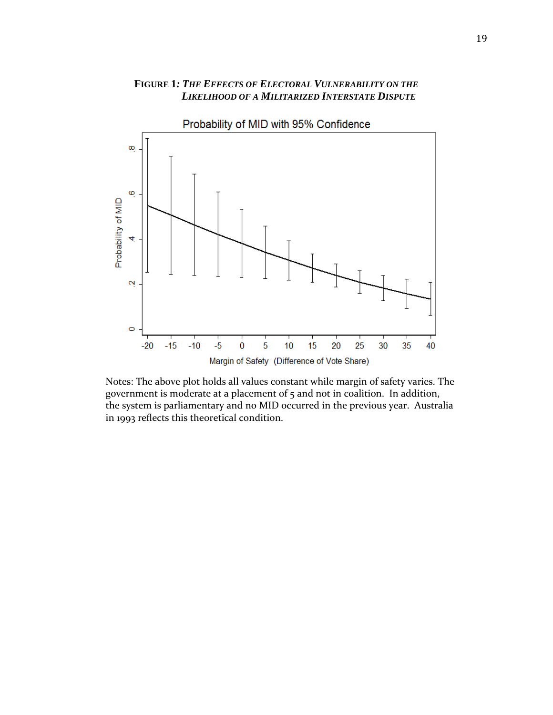#### **FIGURE 1***: THE EFFECTS OF ELECTORAL VULNERABILITY ON THE LIKELIHOOD OF A MILITARIZED INTERSTATE DISPUTE*



Notes: The above plot holds all values constant while margin of safety varies. The government is moderate at a placement of 5 and not in coalition. In addition, the system is parliamentary and no MID occurred in the previous year. Australia in 1993 reflects this theoretical condition.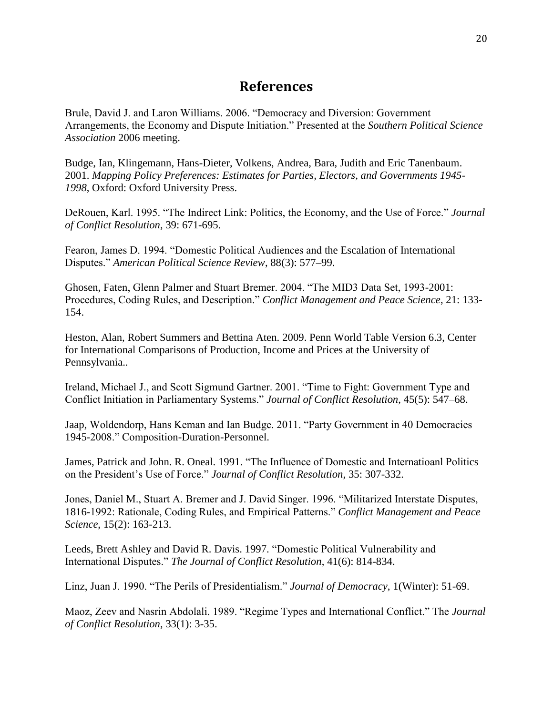### **References**

Brule, David J. and Laron Williams. 2006. "Democracy and Diversion: Government Arrangements, the Economy and Dispute Initiation." Presented at the *Southern Political Science Association* 2006 meeting.

Budge, Ian, Klingemann, Hans-Dieter, Volkens, Andrea, Bara, Judith and Eric Tanenbaum. 2001. *Mapping Policy Preferences: Estimates for Parties, Electors, and Governments 1945- 1998*, Oxford: Oxford University Press.

DeRouen, Karl. 1995. "The Indirect Link: Politics, the Economy, and the Use of Force." *Journal of Conflict Resolution*, 39: 671-695.

Fearon, James D. 1994. "Domestic Political Audiences and the Escalation of International Disputes." *American Political Science Review*, 88(3): 577–99.

Ghosen, Faten, Glenn Palmer and Stuart Bremer. 2004. "The MID3 Data Set, 1993-2001: Procedures, Coding Rules, and Description." *Conflict Management and Peace Science*, 21: 133- 154.

Heston, Alan, Robert Summers and Bettina Aten. 2009. Penn World Table Version 6.3, Center for International Comparisons of Production, Income and Prices at the University of Pennsylvania..

Ireland, Michael J., and Scott Sigmund Gartner. 2001. "Time to Fight: Government Type and Conflict Initiation in Parliamentary Systems." *Journal of Conflict Resolution*, 45(5): 547–68.

Jaap, Woldendorp, Hans Keman and Ian Budge. 2011. "Party Government in 40 Democracies 1945-2008." Composition-Duration-Personnel.

James, Patrick and John. R. Oneal. 1991. "The Influence of Domestic and Internatioanl Politics on the President's Use of Force." *Journal of Conflict Resolution*, 35: 307-332.

Jones, Daniel M., Stuart A. Bremer and J. David Singer. 1996. "Militarized Interstate Disputes, 1816-1992: Rationale, Coding Rules, and Empirical Patterns." *Conflict Management and Peace Science*, 15(2): 163-213.

Leeds, Brett Ashley and David R. Davis. 1997. "Domestic Political Vulnerability and International Disputes." *The Journal of Conflict Resolution*, 41(6): 814-834.

Linz, Juan J. 1990. "The Perils of Presidentialism." *Journal of Democracy*, 1(Winter): 51-69.

Maoz, Zeev and Nasrin Abdolali. 1989. "Regime Types and International Conflict." The *Journal of Conflict Resolution*, 33(1): 3-35.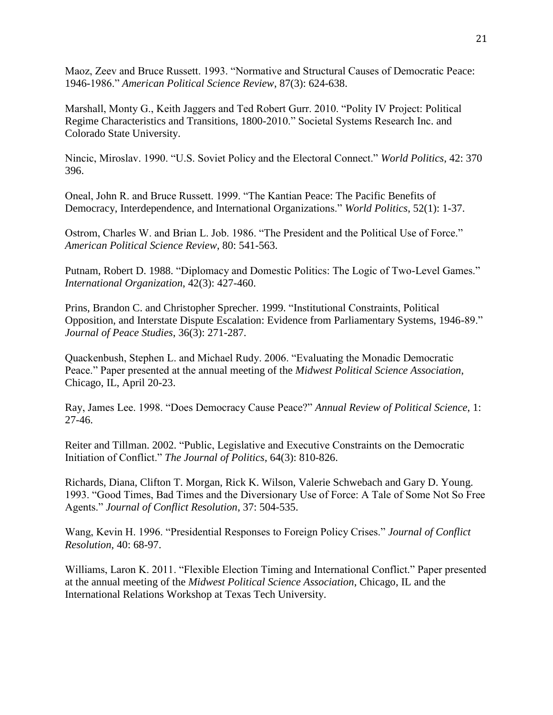Maoz, Zeev and Bruce Russett. 1993. "Normative and Structural Causes of Democratic Peace: 1946-1986." *American Political Science Review*, 87(3): 624-638.

Marshall, Monty G., Keith Jaggers and Ted Robert Gurr. 2010. "Polity IV Project: Political Regime Characteristics and Transitions, 1800-2010." Societal Systems Research Inc. and Colorado State University.

Nincic, Miroslav. 1990. "U.S. Soviet Policy and the Electoral Connect." *World Politics*, 42: 370 396.

Oneal, John R. and Bruce Russett. 1999. "The Kantian Peace: The Pacific Benefits of Democracy, Interdependence, and International Organizations." *World Politics*, 52(1): 1-37.

Ostrom, Charles W. and Brian L. Job. 1986. "The President and the Political Use of Force." *American Political Science Review*, 80: 541-563.

Putnam, Robert D. 1988. "Diplomacy and Domestic Politics: The Logic of Two-Level Games." *International Organization*, 42(3): 427-460.

Prins, Brandon C. and Christopher Sprecher. 1999. "Institutional Constraints, Political Opposition, and Interstate Dispute Escalation: Evidence from Parliamentary Systems, 1946-89." *Journal of Peace Studies*, 36(3): 271-287.

Quackenbush, Stephen L. and Michael Rudy. 2006. "Evaluating the Monadic Democratic Peace." Paper presented at the annual meeting of the *Midwest Political Science Association*, Chicago, IL, April 20-23.

Ray, James Lee. 1998. "Does Democracy Cause Peace?" *Annual Review of Political Science*, 1: 27-46.

Reiter and Tillman. 2002. "Public, Legislative and Executive Constraints on the Democratic Initiation of Conflict." *The Journal of Politics*, 64(3): 810-826.

Richards, Diana, Clifton T. Morgan, Rick K. Wilson, Valerie Schwebach and Gary D. Young. 1993. "Good Times, Bad Times and the Diversionary Use of Force: A Tale of Some Not So Free Agents." *Journal of Conflict Resolution*, 37: 504-535.

Wang, Kevin H. 1996. "Presidential Responses to Foreign Policy Crises." *Journal of Conflict Resolution*, 40: 68-97.

Williams, Laron K. 2011. "Flexible Election Timing and International Conflict." Paper presented at the annual meeting of the *Midwest Political Science Association*, Chicago, IL and the International Relations Workshop at Texas Tech University.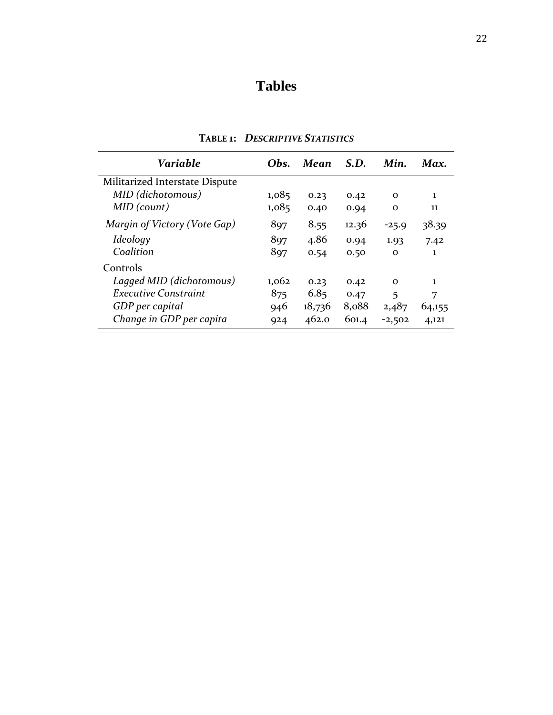## **Tables**

| <b>Variable</b>                | Obs.  | Mean   | S.D.  | Min.        | Max.   |
|--------------------------------|-------|--------|-------|-------------|--------|
| Militarized Interstate Dispute |       |        |       |             |        |
| MID (dichotomous)              | 1,085 | 0.23   | 0.42  | $\Omega$    | 1      |
| MID (count)                    | 1,085 | 0.40   | 0.94  | $\mathbf 0$ | 11     |
| Margin of Victory (Vote Gap)   | 897   | 8.55   | 12.36 | $-25.9$     | 38.39  |
| Ideology                       | 897   | 4.86   | 0.94  | 1.93        | 7.42   |
| Coalition                      | 897   | 0.54   | 0.50  | $\Omega$    | 1      |
| Controls                       |       |        |       |             |        |
| Lagged MID (dichotomous)       | 1,062 | 0.23   | 0.42  | $\Omega$    | 1      |
| <b>Executive Constraint</b>    | 875   | 6.85   | 0.47  | 5           | 7      |
| GDP per capital                | 946   | 18,736 | 8,088 | 2,487       | 64,155 |
| Change in GDP per capita       | 924   | 462.0  | 601.4 | $-2,502$    | 4,121  |

**TABLE 1:** *DESCRIPTIVE STATISTICS*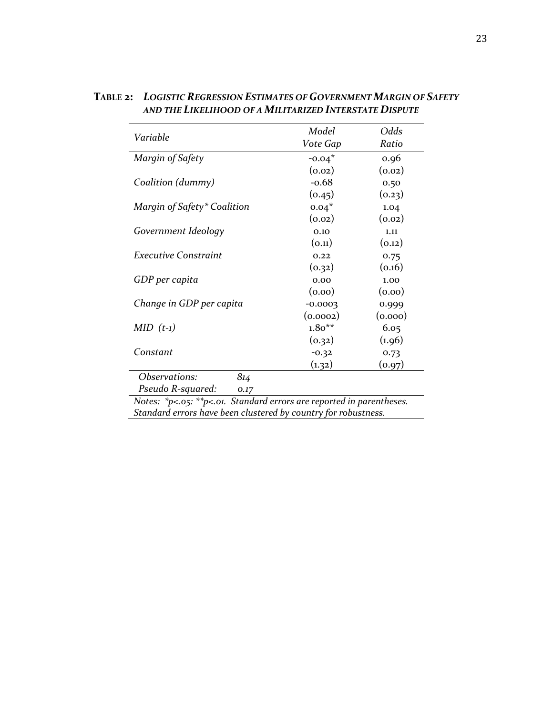| Variable                    | Model     | Odds    |  |
|-----------------------------|-----------|---------|--|
|                             | Vote Gap  | Ratio   |  |
| Margin of Safety            | $-0.04*$  | 0.96    |  |
|                             | (0.02)    | (0.02)  |  |
| Coalition (dummy)           | $-0.68$   | 0.50    |  |
|                             | (0.45)    | (0.23)  |  |
| Margin of Safety* Coalition | $0.04*$   | 1.04    |  |
|                             | (0.02)    | (0.02)  |  |
| Government Ideology         | 0.10      | 1.11    |  |
|                             | (0.11)    | (0.12)  |  |
| <b>Executive Constraint</b> | 0.22      | 0.75    |  |
|                             | (0.32)    | (0.16)  |  |
| GDP per capita              | 0.00      | 1.00    |  |
|                             | (0.00)    | (0.00)  |  |
| Change in GDP per capita    | $-0.0003$ | 0.999   |  |
|                             | (0.0002)  | (0.000) |  |
| $MID$ $(t-1)$               | $1.80**$  | 6.05    |  |
|                             | (0.32)    | (1.96)  |  |
| Constant                    | $-0.32$   | 0.73    |  |
|                             | (1.32)    | (0.97)  |  |
| Observations:<br>814        |           |         |  |
| Pseudo R-squared:<br>0.17   |           |         |  |

**TABLE 2:** *LOGISTIC REGRESSION ESTIMATES OF GOVERNMENT MARGIN OF SAFETY AND THE LIKELIHOOD OF A MILITARIZED INTERSTATE DISPUTE*

*Notes: \*p<.05: \*\*p<.01. Standard errors are reported in parentheses. Standard errors have been clustered by country for robustness.*